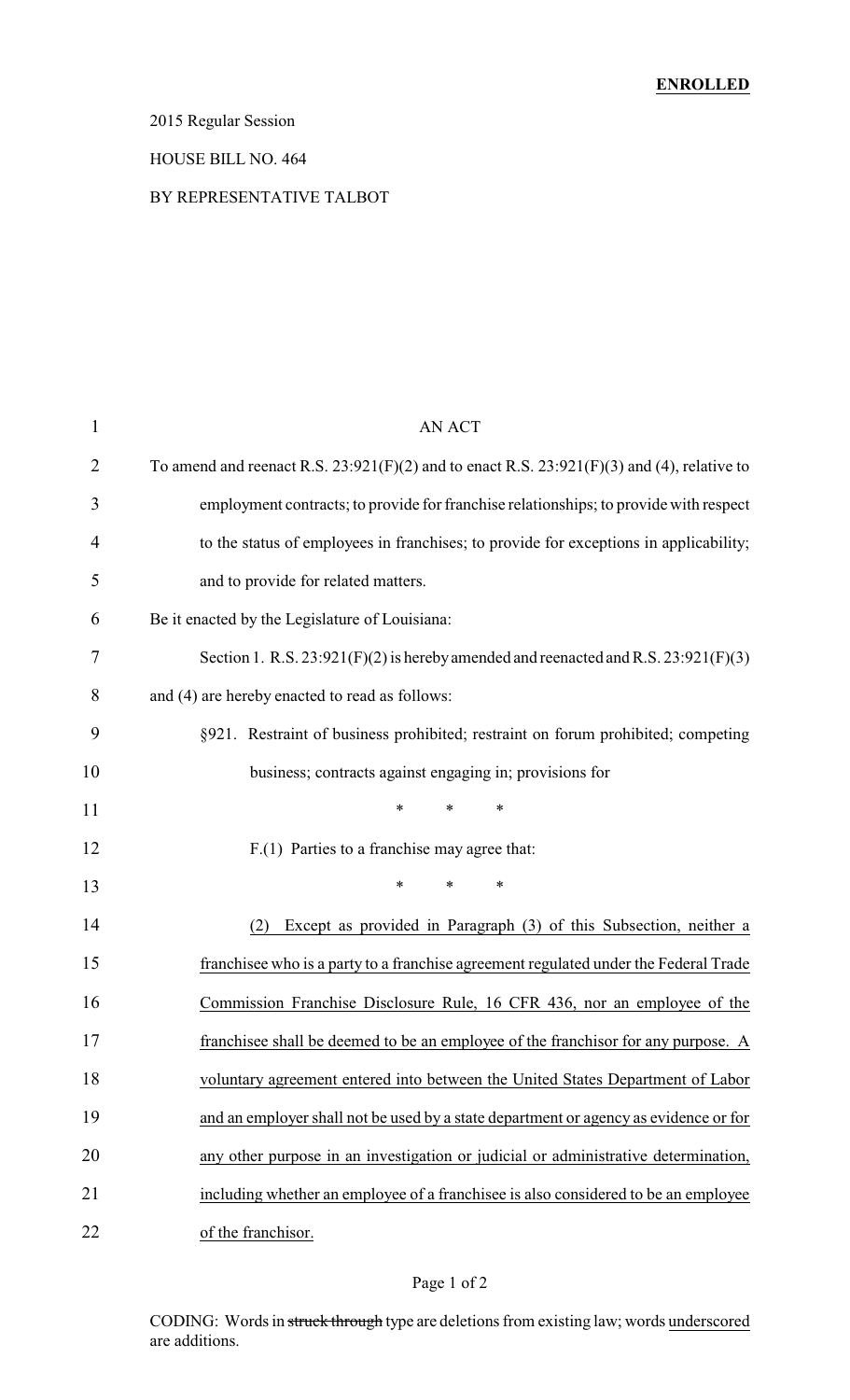# 2015 Regular Session

#### HOUSE BILL NO. 464

#### BY REPRESENTATIVE TALBOT

| $\mathbf{1}$ | AN ACT                                                                                         |
|--------------|------------------------------------------------------------------------------------------------|
| 2            | To amend and reenact R.S. $23:921(F)(2)$ and to enact R.S. $23:921(F)(3)$ and (4), relative to |
| 3            | employment contracts; to provide for franchise relationships; to provide with respect          |
| 4            | to the status of employees in franchises; to provide for exceptions in applicability;          |
| 5            | and to provide for related matters.                                                            |
| 6            | Be it enacted by the Legislature of Louisiana:                                                 |
| 7            | Section 1. R.S. $23:921(F)(2)$ is hereby amended and reenacted and R.S. $23:921(F)(3)$         |
| 8            | and (4) are hereby enacted to read as follows:                                                 |
| 9            | §921. Restraint of business prohibited; restraint on forum prohibited; competing               |
| 10           | business; contracts against engaging in; provisions for                                        |
| 11           | *<br>$\ast$<br>∗                                                                               |
| 12           | F.(1) Parties to a franchise may agree that:                                                   |
| 13           | *<br>*<br>∗                                                                                    |
| 14           | Except as provided in Paragraph (3) of this Subsection, neither a<br>(2)                       |
| 15           | franchisee who is a party to a franchise agreement regulated under the Federal Trade           |
| 16           | Commission Franchise Disclosure Rule, 16 CFR 436, nor an employee of the                       |
| 17           | franchisee shall be deemed to be an employee of the franchisor for any purpose. A              |
| 18           | voluntary agreement entered into between the United States Department of Labor                 |
| 19           | and an employer shall not be used by a state department or agency as evidence or for           |
| 20           | any other purpose in an investigation or judicial or administrative determination,             |
| 21           | including whether an employee of a franchisee is also considered to be an employee             |
| 22           | of the franchisor.                                                                             |

#### Page 1 of 2

CODING: Words in struck through type are deletions from existing law; words underscored are additions.